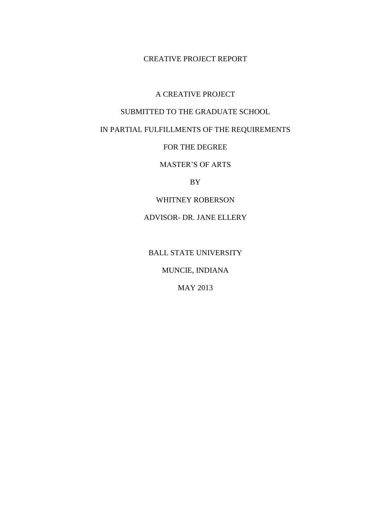#### CREATIVE PROJECT REPORT

### A CREATIVE PROJECT

### SUBMITTED TO THE GRADUATE SCHOOL

# IN PARTIAL FULFILLMENTS OF THE REQUIREMENTS

#### FOR THE DEGREE

# MASTER'S OF ARTS

### BY

### WHITNEY ROBERSON

# ADVISOR- DR. JANE ELLERY

# BALL STATE UNIVERSITY

# MUNCIE, INDIANA

### MAY 2013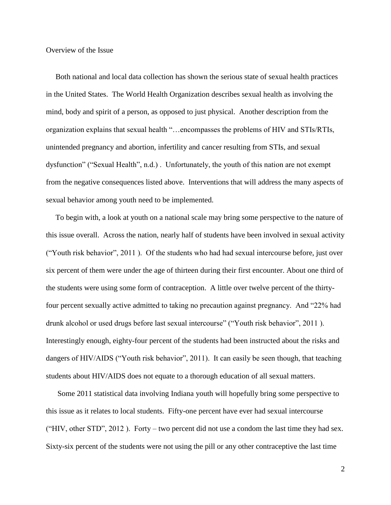Overview of the Issue

 Both national and local data collection has shown the serious state of sexual health practices in the United States. The World Health Organization describes sexual health as involving the mind, body and spirit of a person, as opposed to just physical. Another description from the organization explains that sexual health "…encompasses the problems of HIV and STIs/RTIs, unintended pregnancy and abortion, infertility and cancer resulting from STIs, and sexual dysfunction" ("Sexual Health", n.d.) . Unfortunately, the youth of this nation are not exempt from the negative consequences listed above. Interventions that will address the many aspects of sexual behavior among youth need to be implemented.

 To begin with, a look at youth on a national scale may bring some perspective to the nature of this issue overall. Across the nation, nearly half of students have been involved in sexual activity ("Youth risk behavior", 2011 ). Of the students who had had sexual intercourse before, just over six percent of them were under the age of thirteen during their first encounter. About one third of the students were using some form of contraception. A little over twelve percent of the thirtyfour percent sexually active admitted to taking no precaution against pregnancy. And "22% had drunk alcohol or used drugs before last sexual intercourse" ("Youth risk behavior", 2011 ). Interestingly enough, eighty-four percent of the students had been instructed about the risks and dangers of HIV/AIDS ("Youth risk behavior", 2011). It can easily be seen though, that teaching students about HIV/AIDS does not equate to a thorough education of all sexual matters.

 Some 2011 statistical data involving Indiana youth will hopefully bring some perspective to this issue as it relates to local students. Fifty-one percent have ever had sexual intercourse ("HIV, other STD", 2012). Forty – two percent did not use a condom the last time they had sex. Sixty-six percent of the students were not using the pill or any other contraceptive the last time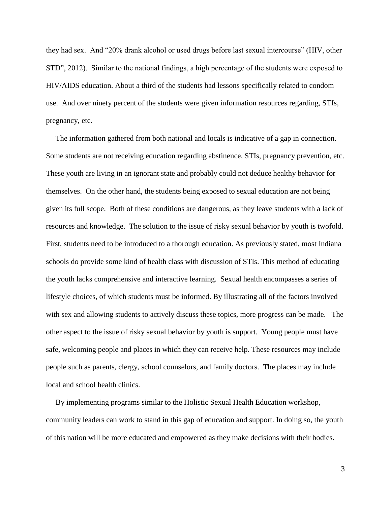they had sex. And "20% drank alcohol or used drugs before last sexual intercourse" (HIV, other STD", 2012). Similar to the national findings, a high percentage of the students were exposed to HIV/AIDS education. About a third of the students had lessons specifically related to condom use. And over ninety percent of the students were given information resources regarding, STIs, pregnancy, etc.

 The information gathered from both national and locals is indicative of a gap in connection. Some students are not receiving education regarding abstinence, STIs, pregnancy prevention, etc. These youth are living in an ignorant state and probably could not deduce healthy behavior for themselves. On the other hand, the students being exposed to sexual education are not being given its full scope. Both of these conditions are dangerous, as they leave students with a lack of resources and knowledge. The solution to the issue of risky sexual behavior by youth is twofold. First, students need to be introduced to a thorough education. As previously stated, most Indiana schools do provide some kind of health class with discussion of STIs. This method of educating the youth lacks comprehensive and interactive learning. Sexual health encompasses a series of lifestyle choices, of which students must be informed. By illustrating all of the factors involved with sex and allowing students to actively discuss these topics, more progress can be made. The other aspect to the issue of risky sexual behavior by youth is support. Young people must have safe, welcoming people and places in which they can receive help. These resources may include people such as parents, clergy, school counselors, and family doctors. The places may include local and school health clinics.

 By implementing programs similar to the Holistic Sexual Health Education workshop, community leaders can work to stand in this gap of education and support. In doing so, the youth of this nation will be more educated and empowered as they make decisions with their bodies.

3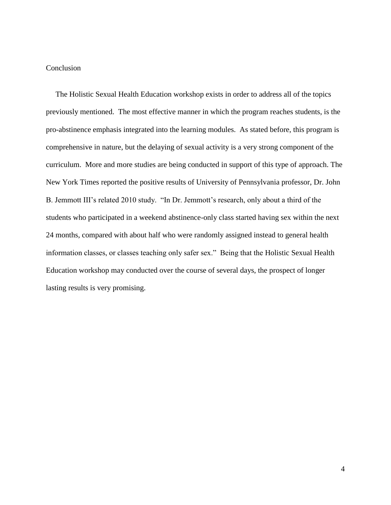### Conclusion

 The Holistic Sexual Health Education workshop exists in order to address all of the topics previously mentioned. The most effective manner in which the program reaches students, is the pro-abstinence emphasis integrated into the learning modules. As stated before, this program is comprehensive in nature, but the delaying of sexual activity is a very strong component of the curriculum. More and more studies are being conducted in support of this type of approach. The New York Times reported the positive results of University of Pennsylvania professor, Dr. John B. Jemmott III's related 2010 study. "In Dr. Jemmott's research, only about a third of the students who participated in a weekend abstinence-only class started having sex within the next 24 months, compared with about half who were randomly assigned instead to general health information classes, or classes teaching only safer sex." Being that the Holistic Sexual Health Education workshop may conducted over the course of several days, the prospect of longer lasting results is very promising.